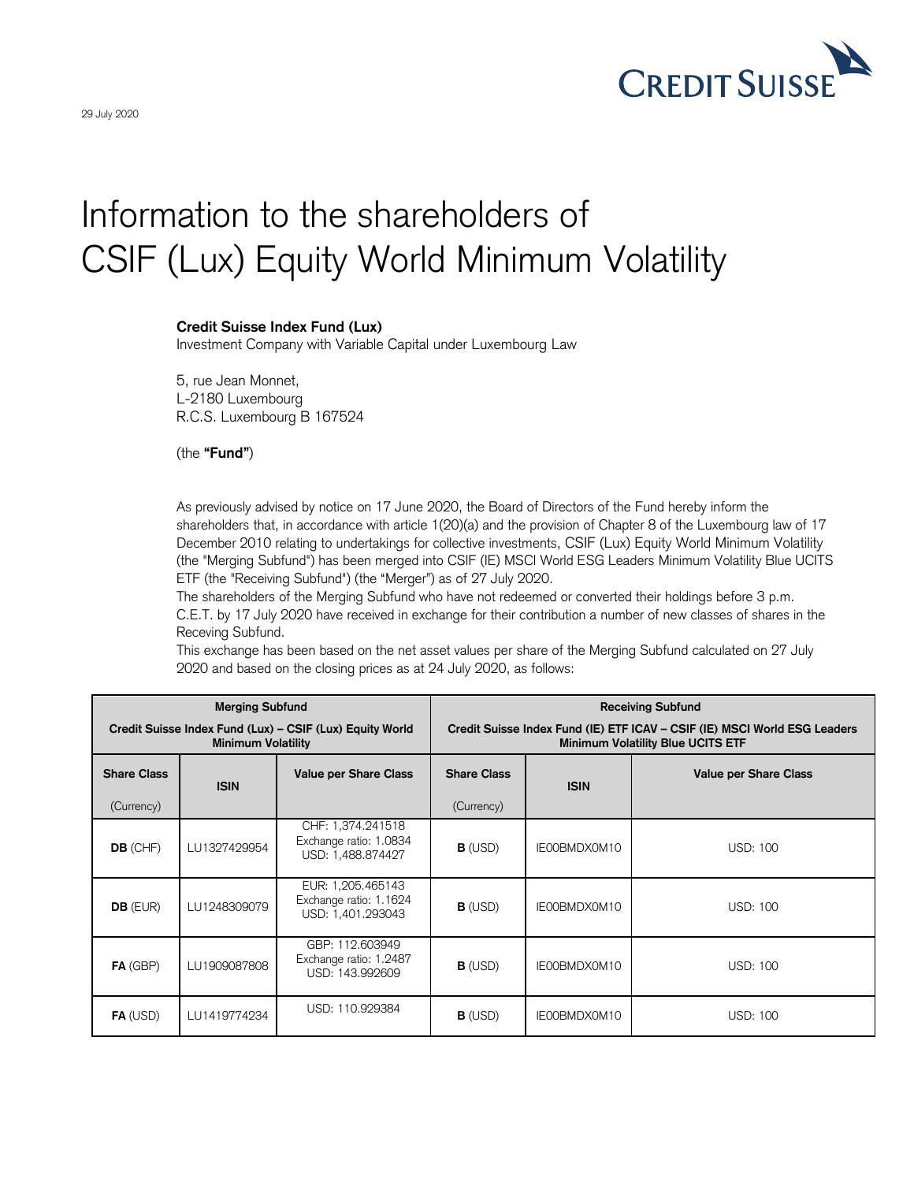

## Information to the shareholders of CSIF (Lux) Equity World Minimum Volatility

## **Credit Suisse Index Fund (Lux)**

Investment Company with Variable Capital under Luxembourg Law

5, rue Jean Monnet, L-2180 Luxembourg R.C.S. Luxembourg B 167524

(the **"Fund"**)

As previously advised by notice on 17 June 2020, the Board of Directors of the Fund hereby inform the shareholders that, in accordance with article 1(20)(a) and the provision of Chapter 8 of the Luxembourg law of 17 December 2010 relating to undertakings for collective investments, CSIF (Lux) Equity World Minimum Volatility (the "Merging Subfund") has been merged into CSIF (IE) MSCI World ESG Leaders Minimum Volatility Blue UCITS ETF (the "Receiving Subfund") (the "Merger") as of 27 July 2020.

The shareholders of the Merging Subfund who have not redeemed or converted their holdings before 3 p.m. C.E.T. by 17 July 2020 have received in exchange for their contribution a number of new classes of shares in the Receving Subfund.

This exchange has been based on the net asset values per share of the Merging Subfund calculated on 27 July 2020 and based on the closing prices as at 24 July 2020, as follows:

| <b>Merging Subfund</b>                                                                |              |                                                                  | <b>Receiving Subfund</b>                                                                                              |              |                              |
|---------------------------------------------------------------------------------------|--------------|------------------------------------------------------------------|-----------------------------------------------------------------------------------------------------------------------|--------------|------------------------------|
| Credit Suisse Index Fund (Lux) - CSIF (Lux) Equity World<br><b>Minimum Volatility</b> |              |                                                                  | Credit Suisse Index Fund (IE) ETF ICAV - CSIF (IE) MSCI World ESG Leaders<br><b>Minimum Volatility Blue UCITS ETF</b> |              |                              |
| <b>Share Class</b>                                                                    | <b>ISIN</b>  | <b>Value per Share Class</b>                                     | <b>Share Class</b>                                                                                                    | <b>ISIN</b>  | <b>Value per Share Class</b> |
| (Currency)                                                                            |              |                                                                  | (Currency)                                                                                                            |              |                              |
| DB (CHF)                                                                              | LU1327429954 | CHF: 1,374.241518<br>Exchange ratio: 1.0834<br>USD: 1,488.874427 | <b>B</b> (USD)                                                                                                        | IE00BMDX0M10 | <b>USD: 100</b>              |
| <b>DB</b> (EUR)                                                                       | LU1248309079 | EUR: 1,205.465143<br>Exchange ratio: 1.1624<br>USD: 1,401.293043 | $B$ (USD)                                                                                                             | IE00BMDX0M10 | <b>USD: 100</b>              |
| FA (GBP)                                                                              | LU1909087808 | GBP: 112,603949<br>Exchange ratio: 1.2487<br>USD: 143.992609     | <b>B</b> (USD)                                                                                                        | IE00BMDX0M10 | <b>USD: 100</b>              |
| $FA$ (USD)                                                                            | LU1419774234 | USD: 110.929384                                                  | $B$ (USD)                                                                                                             | IE00BMDX0M10 | <b>USD: 100</b>              |